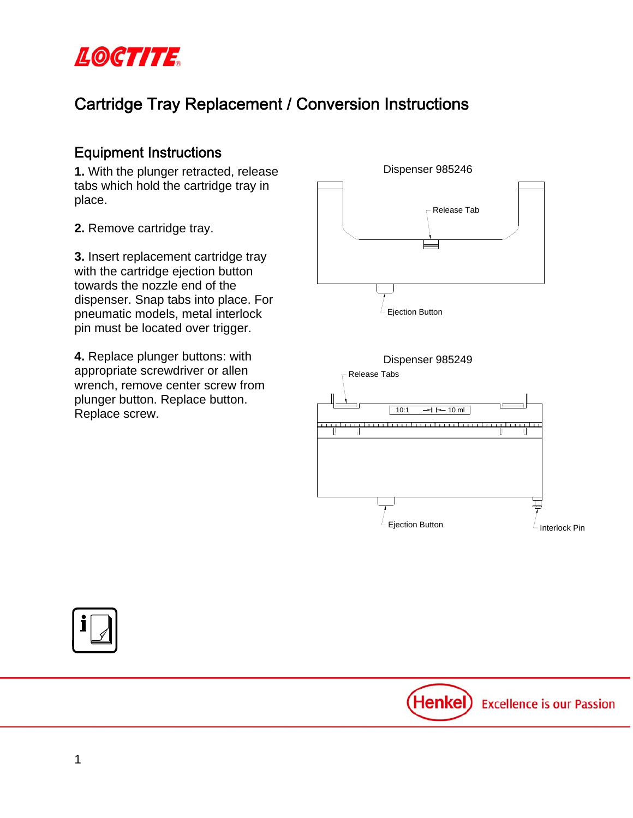

# Cartridge Tray Replacement / Conversion Instructions

## Equipment Instructions

**1.** With the plunger retracted, release tabs which hold the cartridge tray in place.

**2.** Remove cartridge tray.

**3.** Insert replacement cartridge tray with the cartridge ejection button towards the nozzle end of the dispenser. Snap tabs into place. For pneumatic models, metal interlock pin must be located over trigger.

**4.** Replace plunger buttons: with appropriate screwdriver or allen wrench, remove center screw from plunger button. Replace button. Pranger Batton: Replace Screw.  $\sqrt{\frac{1}{10:1} + 1 - 10 \text{ m}}$ 







Henkel) **Excellence is our Passion**